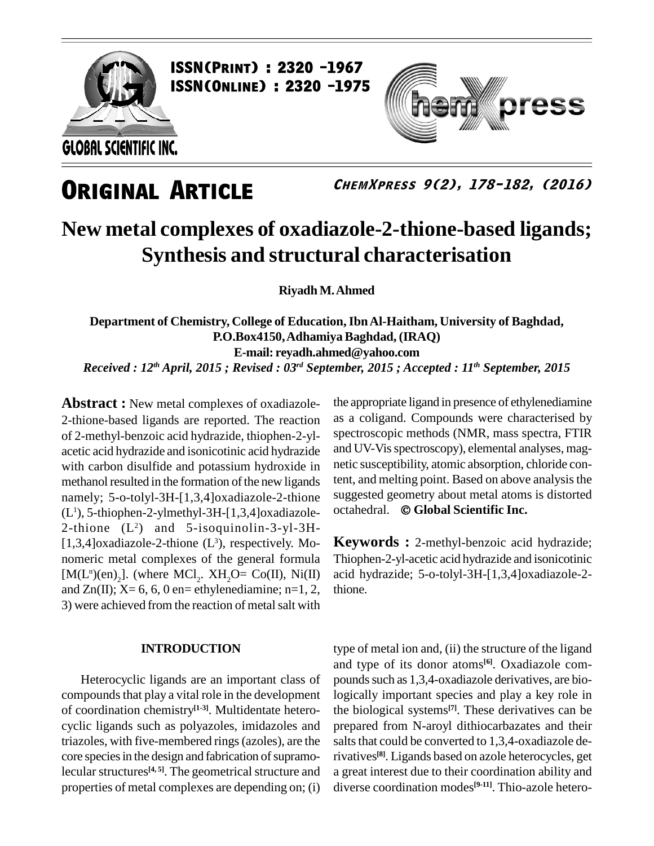

**ISSN(PRINT) : 2320 -1967<br>ISSN(Online) : 2320 -1975** 

GLOBAL SCIENTIFIC INC.

## **ORIGINAL ARTICLE**

**ChemXpress 9(2), 178-182, (2016)**

oress

## **New metal complexes of oxadiazole-2-thione-based ligands; Synthesis and structural characterisation**

**RiyadhM.Ahmed**

**Department of Chemistry, College of Education,IbnAl-Haitham, University of Baghdad, P.O.Box4150,AdhamiyaBaghdad, (IRAQ) E-mail: [reyadh.ahmed@yahoo.com](mailto:reyadh.ahme@dyahoo.com)** Received : 12<sup>th</sup> April, 2015 ; Revised : 03<sup>rd</sup> September, 2015 ; Accepted : 11<sup>th</sup> September, 2015

**Abstract :** New metal complexes of oxadiazole- 2-thione-based ligands are reported. The reaction of 2-methyl-benzoic acid hydrazide, thiophen-2-yl acetic acid hydrazide and isonicotinic acid hydrazide with carbon disulfide and potassium hydroxide in methanol resulted in the formation of the new ligands namely; 5-o-tolyl-3H-[1,3,4]oxadiazole-2-thione suggested geometry about metal atoms<br>(1) 5-thiophen-2-ylmethyl-3H-[1,3,4]oxadiazole- octahedral. © Global Scientific Inc. (L <sup>1</sup>), 5-thiophen-2-ylmethyl-3H-[1,3,4]oxadiazole- 2-thione (L <sup>2</sup>) and 5-isoquinolin-3-yl-3H- [1,3,4]oxadiazole-2-thione  $(L^3)$ , respectively. Mo- **Ke** nomeric metal complexes of the general formula [ $M(L^n)(en)_2$ ]. (where  $MCl_2$ .  $XH_2O = Co(II)$ ,  $Ni(II)$  acid and  $Zn(II)$ ;  $X=6, 6, 0$  en= ethylenediamine; n=1, 2, 3) were achieved from the reaction of metal salt with

### **INTRODUCTION**

Heterocyclic ligands are an important class of compounds that play a vital role in the development of coordination chemistry **[1-3]**. Multidentate hetero cyclic ligands such as polyazoles, imidazoles and triazoles, with five-membered rings(azoles), are the core species in the design and fabrication of supramolecular structures<sup>[4, 5]</sup>. The geometrical structure and a great properties of metal complexes are depending on; (i)

the appropriate ligand in presence of ethylenediamine as a coligand. Compounds were characterised by spectroscopic methods (NMR, mass spectra, FTIR and UV-Vis spectroscopy), elemental analyses, magnetic susceptibility, atomic absorption, chloride content, and melting point. Based on above analysisthe octahedral. **Global Scientific Inc.** suggested geometry about metal atoms is distorted

**Keywords :** 2-methyl-benzoic acid hydrazide; Thiophen-2-yl-acetic acid hydrazide and isonicotinic acid hydrazide; 5-o-tolyl-3H-[1,3,4]oxadiazole-2 thione.

type of metal ion and, (ii) the structure of the ligand and type of its donor atoms **[6]**. Oxadiazole com pounds such as 1,3,4-oxadiazole derivatives, are biologically important species and play a key role in the biological systems **[7]**. These derivatives can be prepared from N-aroyl dithiocarbazates and their salts that could be converted to 1,3,4-oxadiazole derivatives **[8]**. Ligands based on azole heterocycles, get a great interest due to their coordination ability and diverse coordination modes **[9-11]**. Thio-azole hetero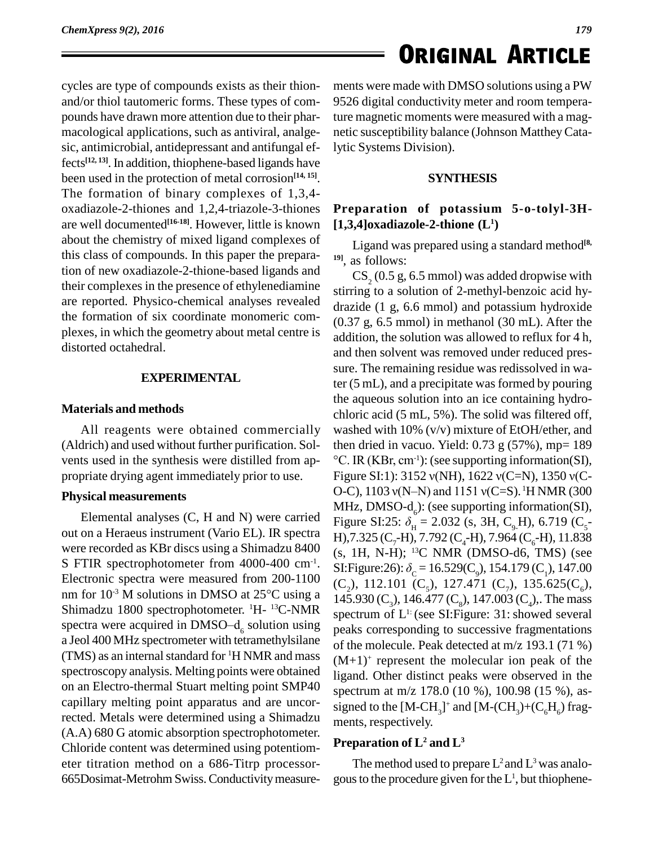cycles are type of compounds exists as their thion and/or thiol tautomeric forms. These types of com pounds have drawn more attention due to their phar macological applications, such as antiviral, analge sic, antimicrobial, antidepressant and antifungal effects **[12, 13]**. In addition, thiophene-based ligands have been used in the protection of metal corrosion **[14, 15]**. The formation of binary complexes of 1,3,4 oxadiazole-2-thiones and 1,2,4-triazole-3-thiones are well documented **[16-18]**. However, little is known about the chemistry of mixed ligand complexes of this class of compounds. In this paper the preparation of new oxadiazole-2-thione-based ligands and their complexes in the presence of ethylenediamine are reported. Physico-chemical analyses revealed the formation of six coordinate monomeric complexes, in which the geometry about metal centre is distorted octahedral.

### **EXPERIMENTAL**

### **Materials and methods**

All reagents were obtained commercially (Aldrich) and used without further purification. Sol propriate drying agent immediately prior to use.

### **Physical measurements**

out on a Heraeus instrument (Vario EL). IR spectra were recorded as KBr discs using a Shimadzu 8400 S FTIR spectrophotometer from 4000-400 cm<sup>-1</sup>. SI:Fig<br>Electronic spectra were measured from 200-1100 (C<sub>2</sub>),<br>nm for 10<sup>-3</sup> M solutions in DMSO at 25°C using a 145 9 Electronic spectra were measured from 200-1100 nm for  $10^{-3}$  M solutions in DMSO at  $25^{\circ}$ C using a Shimadzu 1800 spectrophotometer.  $^1H - ^{13}C$ -NMR spectrum nm for 10<sup>-3</sup> M solutions in DMSO at 25<sup>o</sup>C using a 145.93<br>Shimadzu 1800 spectrophotometer. <sup>1</sup>H-<sup>13</sup>C-NMR spectrus spectra were acquired in DMSO-d<sub>6</sub> solution using peaks a Jeol 400 MHz spectrometer with tetramethylsilane (TMS) as an internal standard for <sup>1</sup>H NMR and mass  $(N+1)$ spectroscopy analysis. Melting points were obtained on an Electro-thermal Stuart melting point SMP40 capillary melting point apparatus and are uncorrected. Metals were determined using a Shimadzu ments, respectively. (A.A) 680 G atomic absorption spectrophotometer. Chloride content was determined using potentiom eter titration method on a 686-Titrp processor- 665Dosimat-Metrohm Swiss.Conductivitymeasure*179*

ments were made with DMSO solutions using a PW 9526 digital conductivity meter and room temperature magnetic moments were measured with a mag netic susceptibility balance (Johnson MattheyCatalytic Systems Division).

### **SYNTHESIS**

### **Preparation of potassium 5-o-tolyl-3H- [1,3,4]oxadiazole-2-thione (L<sup>1</sup>)**

Ligand was prepared using a standard method **[8, 19]**, as follows:

vents used in the synthesis were distilled from ap- $\degree$ C. IR (KBr, cm<sup>-1</sup>): (see supporting information(SI), Elemental analyses (C, H and N) were carried<br>Figure SI:25:  $\delta_{\rm H} = 2.032$  (s, 3H, C<sub>0</sub>H), 6.719 (C<sub>5</sub>-SI:Figure:26):  $\delta_c = 16.529(C_o)$ , 154.179 (C<sub>1</sub>), 147.00  $CS<sub>2</sub>$  (0.5 g, 6.5 mmol) was added dropwise with stirring to a solution of 2-methyl-benzoic acid hy drazide (1 g, 6.6 mmol) and potassium hydroxide (0.37 g, 6.5 mmol) in methanol (30 mL). After the addition, the solution was allowed to reflux for 4 h, and then solvent was removed under reduced pres sure. The remaining residue was redissolved in water (5 mL), and a precipitate was formed by pouring the aqueous solution into an ice containing hydro chloric acid (5 mL,5%). The solid was filtered off, washed with 10% (v/v) mixture of EtOH/ether, and<br>then dried in vacuo. Yield: 0.73 g (57%), mp= 189<br>°C. IR (KBr, cm<sup>-1</sup>): (see supporting information(SI), then dried in vacuo. Yield:  $0.73$  g  $(57%)$ , mp= 189 then dried in vacuo. Yield: 0.73 g (57%), mp= 189<br>°C. IR (KBr, cm<sup>-1</sup>): (see supporting information(SI),<br>Figure SI:1): 3152  $v(NH)$ , 1622  $v(C=N)$ , 1350  $v(C-$ °C. IR (KBr, cm<sup>-1</sup>): (see supporting information(SI),<br>Figure SI:1): 3152 v(NH), 1622 v(C=N), 1350 v(C-<br>O-C), 1103 v(N–N) and 1151 v(C=S). <sup>1</sup>H NMR (300 O-C), 1103 v(N–N) and 1151 v(C=S). <sup>1</sup>H NMR (300<br>MHz, DMSO-d<sub>6</sub>): (see supporting information(SI),<br>Figure SI:25: δ<sub>H</sub> = 2.032 (s, 3H, C<sub>9</sub>H), 6.719 (C<sub>5</sub>-<br>H),7.325 (C<sub>7</sub>-H), 7.792 (C<sub>4</sub>-H), 7.964 (C<sub>6</sub>-H), 11.838 (s, 1H, N-H); <sup>13</sup>C NMR (DMSO-d6, TMS) (see H),7.325 (C<sub>7</sub>-H), 7.792 (C<sub>4</sub>-H), 7.964 (C<sub>6</sub>-H), 11.838<br>(s, 1H, N-H); <sup>13</sup>C NMR (DMSO-d6, TMS) (see<br>SI:Figure:26): δ<sub>c</sub> = 16.529(C<sub>9</sub>), 154.179 (C<sub>1</sub>), 147.00 (C<sub>2</sub>), 112.101 (C<sub>5</sub>), 127.471 (C<sub>7</sub>), 135.625(C<sub>6</sub>), 145.930 (C<sub>3</sub>), 146.477 (C<sub>6</sub>), 147.003 (C<sub>4</sub>),. The mass spectrum of L 1: (see SI:Figure: 31:showed several peaks corresponding to successive fragmentations of the molecule. Peak detected at m/z 193.1 (71 %)  $(M+1)^+$  represent the molecular ion peak of the ligand. Other distinct peaks were observed in the spectrum at m/z 178.0 (10 %), 100.98 (15 %), as signed to the  $[M-CH_3]^+$  and  $[M-(CH_3)+(C_6H_6)^+$  fragments, respectively.

### **Preparation of L<sup>2</sup> and L<sup>3</sup>**

The method used to prepare  $L^2$  and  $L^3$  was analogous to the procedure given for the  $L^1$ , but thiophene-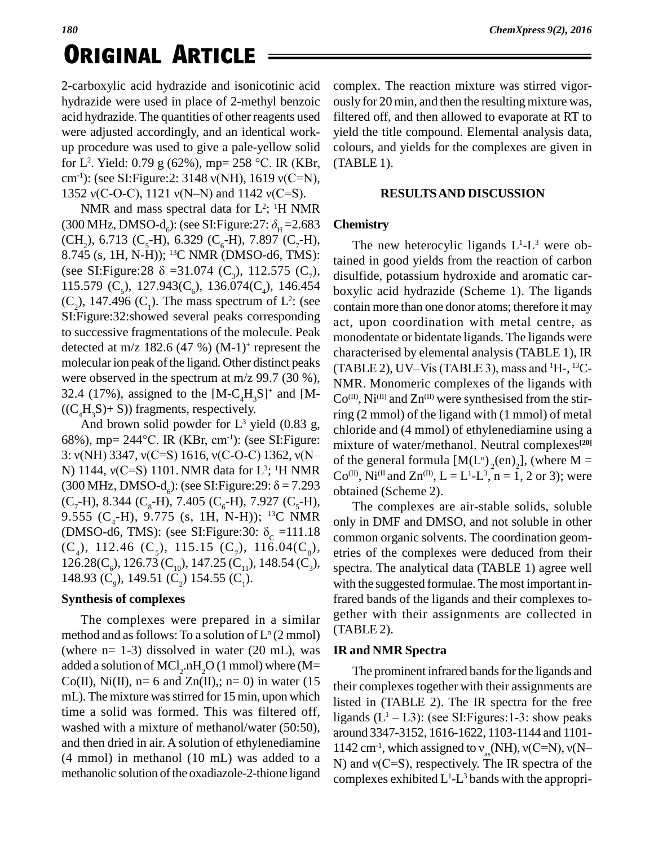# **ORIGINAL ARTICLE**

2-carboxylic acid hydrazide and isonicotinic acid hydrazide were used in place of 2-methyl benzoic acid hydrazide. The quantities of other reagents used were adjusted accordingly, and an identical work up procedure was used to give a pale-yellow solid were adjusted accordingly, and an identical work-yiel<br>up procedure was used to give a pale-yellow solid cole<br>for L<sup>2</sup>. Yield:  $0.79 \text{ g} (62\%)$ , mp= 258 °C. IR (KBr, (TA up procedure was used to give a pale-yellow solid co<br>for L<sup>2</sup>. Yield: 0.79 g (62%), mp= 258 °C. IR (KBr, (T<br>cm<sup>-1</sup>): (see SI:Figure:2: 3148  $v(NH)$ , 1619  $v(C=N)$ ), for L<sup>2</sup>. Yield: 0.79 g (62%), mp= 258 °C. IR (KBr,<br>cm<sup>-1</sup>): (see SI:Figure:2: 3148 v(NH), 1619 v(C=N),<br>1352 v(C-O-C), 1121 v(N–N) and 1142 v(C=S).

NMR and mass spectral data for  $L^2$ ; <sup>1</sup>H NMR 1352 v(C-O-C), 1121 v(N-N) and 1142 v(C=S).<br>NMR and mass spectral data for L<sup>2</sup>; <sup>1</sup>H NMR<br>(300 MHz, DMSO-d<sub>6</sub>): (see SI:Figure:27:  $\delta_{\text{H}}$  =2.683 (CH<sub>2</sub>), 6.713 (C<sub>5</sub>-H), 6.329 (C<sub>6</sub>-H), 7.897 (C<sub>7</sub>-H), 8.745 (s, 1H, N-H)); <sup>13</sup>C NMR (DMSO-d6, TMS): (see SI:Figure:28  $\delta$  =31.074 (C<sub>3</sub>), 112.575 (C<sub>7</sub>), 115.579 (C<sub>5</sub>), 127.943(C<sub>6</sub>), 136.074(C<sub>4</sub>), 146.454  $(C_2)$ , 147.496  $(C_1)$ . The mass spectrum of L<sup>2</sup>: (see contain SI:Figure:32:showed several peaks corresponding to successive fragmentations of the molecule. Peak detected at m/z 182.6 (47 %)  $(M-1)^+$  represent the character molecular ion peak of the ligand. Other distinct peaks were observed in the spectrum at m/z 99.7 (30 %), 32.4 (17%), assigned to the  $[M-C_4H_3S]^+$  and  $[M-C_0($  $((C_4H_3S) + S)$ ) fragments, respectively.<br>And brown solid powder for L<sup>3</sup> yield (0.83 g, chlc

 $((C_4H_3S) + S)$ ) fragments, respectively.<br>And brown solid powder for L<sup>3</sup> yield (0.83 g, ch<br>68%), mp= 244°C. IR (KBr, cm<sup>-1</sup>): (see SI:Figure: mi And brown solid powder for L<sup>3</sup> yield (0.83 g,<br>68%), mp= 244°C. IR (KBr, cm<sup>-1</sup>): (see SI:Figure: mixture 3:  $v(NH)$  3347,  $v(C=S)$  1616,  $v(C-O-C)$  1362,  $v(N-$  of the 68%), mp= 244°C. IR (KBr, cm<sup>-1</sup>): (see SI:Figure:<br>3: v(NH) 3347, v(C=S) 1616, v(C-O-C) 1362, v(N–<br>N) 1144, v(C=S) 1101. NMR data for L<sup>3</sup>; <sup>1</sup>H NMR <sup>3</sup>; <sup>1</sup>H NMR  $C_0^{(II)}$  N<sub>1</sub><sup>(I</sup>) 3:  $v(NH)$  3347,  $v(C=S)$  1616,  $v(C-O-C)$  1362,  $v(N-N)$  1144,  $v(C=S)$  1101. NMR data for L<sup>3</sup>; <sup>1</sup>H NMR (300 MHz, DMSO-d<sub>6</sub>): (see SI:Figure:29:  $\delta$  = 7.293 9.555 (C<sub>4</sub>-H), 9.775 (s, 1H, N-H)); <sup>13</sup>C NMR<br>(DMSO-d6, TMS): (see SI:Figure:30:  $\delta_c$  =111.18  $(C_7-H)$ , 8.344  $(C_8-H)$ , 7.405  $(C_6-H)$ , 7.927  $(C_5-H)$ , (C<sub>4</sub>), 112.46 (C<sub>5</sub>), 115.15 (C<sub>7</sub>), 116.04(C<sub>8</sub>), 126.28(C<sub>6</sub>), 126.73 (C<sub>10</sub>), 147.25 (C<sub>11</sub>), 148.54 (C<sub>3</sub>), 148.93 (C<sub>0</sub>), 149.51 (C<sub>2</sub>) 154.55 (C<sub>1</sub>).

### **Synthesis of complexes**

The complexes were prepared in a similar method and as follows: To a solution of  $L^{n}(2 \text{ mmol})$ (where  $n= 1-3$ ) dissolved in water (20 mL), was added a solution of MCl<sub>2</sub>.nH<sub>2</sub>O (1 mmol) where (M=<br>Co(II), Ni(II), n= 6 and Zn(II),; n= 0) in water (15<br>their con mL). The mixture was stirred for 15 min, upon which time a solid was formed. This was filtered off, washed with a mixture of methanol/water (50:50), and then dried in air. A solution of ethylenediamine (4 mmol) in methanol (10 mL) was added to a  $\overline{N}$ ) and  $\overline{v(C=S)}$ , respectively. The IR spectra of the methanolic solution of the oxadiazole-2-thione ligand

complex. The reaction mixture was stirred vigor ously for 20 min, and then the resulting mixture was, filtered off, and then allowed to evaporate at RT to yield the title compound. Elemental analysis data, colours, and yields for the complexes are given in (TABLE 1).

### **RESULTSAND DISCUSSION**

### **Chemistry**

The new heterocylic ligands  $L^1$ - $L^3$  were obtained in good yields from the reaction of carbon disulfide, potassium hydroxide and aromatic car boxylic acid hydrazide (Scheme 1). The ligands contain more than one donor atoms; therefore it may act, upon coordination with metal centre, as monodentate or bidentate ligands. The ligands were<br>characterised by elemental analysis (TABLE 1), IR<br>(TABLE 2), UV–Vis (TABLE 3), mass and <sup>1</sup>H-, <sup>13</sup>Ccharacterised by elemental analysis (TABLE 1), IR (TABLE 2), UV-Vis (TABLE 3), mass and  $^1$ H-,  $^13$ C-NMR. Monomeric complexes of the ligands with  $Co^{(II)}$ , Ni<sup>(II)</sup> and Zn<sup>(II)</sup> were synthesised from the stirring (2 mmol) of the ligand with (1 mmol) of metal chloride and (4 mmol) of ethylenediamine using a mixture of water/methanol. Neutral complexes **[20]** of the general formula  $[M(L^n)_{2}(en)_{2}]$ , (wl of the general formula  $[M(L^n)_2(en)_2]$ , (where  $M =$ <br>Co<sup>(II)</sup>, Ni<sup>(II</sup> and Zn<sup>(II)</sup>, L = L<sup>1</sup>-L<sup>3</sup>, n = 1, 2 or 3); were obtained (Scheme 2).

The complexes are air-stable solids, soluble only in DMF and DMSO, and not soluble in other common organic solvents. The coordination geom etries of the complexes were deduced from their spectra. The analytical data (TABLE 1) agree well with the suggested formulae. The most important infrared bands of the ligands and their complexes to gether with their assignments are collected in (TABLE 2).

### **IR and NMR Spectra**

The prominent infrared bands for the ligands and their complexes together with their assignments are<br>listed in (TABLE 2). The IR spectra for the free<br>ligands  $(L<sup>1</sup> - L3)$ : (see SI:Figures:1-3: show peaks listed in (TABLE 2). The IR spectra for the free ligands  $(L<sup>1</sup> – L3)$ : (see SI: Figures: 1-3: show peaks around 3347-3152, 1616-1622, 1103-1144 and 1101- 1142 cm<sup>-1</sup>, which assigned to  $v_{\infty}$ (NH),  $v(C=N)$ ,  $v(N$ ligands  $(L<sup>1</sup> - L3)$ : (see SI:Figures:1-3: show peaks<br>around 3347-3152, 1616-1622, 1103-1144 and 1101-<br>1142 cm<sup>-1</sup>, which assigned to  $v_{as}$ (NH),  $v(C=N)$ ,  $v(N-N)$  and  $v(C=S)$ , respectively. The IR spectra of the complexes exhibited  $L^1$ - $L^3$  bands with the appropri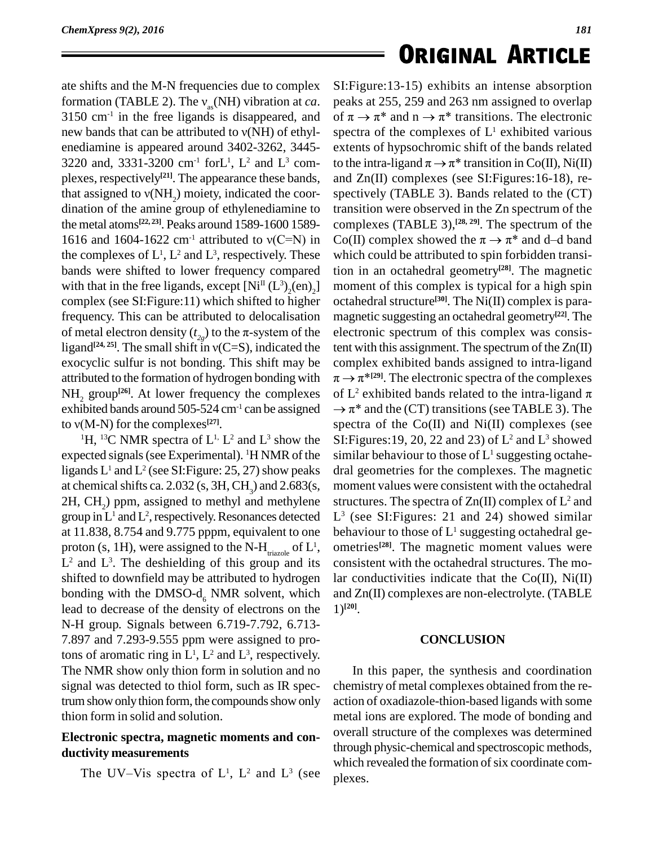ate shifts and the M-N frequencies due to complex ate shifts and the M-N frequencies due to complex SI<br>formation (TABLE 2). The  $v_{as}(NH)$  vibration at *ca*. pe<br>3150 cm<sup>-1</sup> in the free ligands is disappeared, and of  $3150$  cm<sup>-1</sup> in the free ligands is disappeared, and formation (TABLE 2). The  $v_{as}$ (NH) vibration at *ca*. pea 3150 cm<sup>-1</sup> in the free ligands is disappeared, and of  $\tau$  new bands that can be attributed to  $v(NH)$  of ethyl-spe enediamine is appeared around 3402-3262, 3445- 3220 and, 3331-3200 cm<sup>-1</sup> forL<sup>1</sup>, L<sup>2</sup> and L<sup>3</sup> com-<br>plexes, respectively<sup>[21]</sup>. The appearance these bands, and Zr<br>that assigned to  $v(NH_2)$  moiety, indicated the coor-<br>dination of the amine group of ethylenediamine to plexes, respectively<sup>[21]</sup>. The appearance these bands, an the metal atoms **[22, 23]**. Peaks around 1589-1600 1589 dination of the amine group of ethylenediamine to transition were observed in the Zn spectrum of the the metal atoms<sup>[22,23]</sup>. Peaks around 1589-1600 1589- complexes (TABLE 3),<sup>[28,29]</sup>. The spectrum of the 1616 and 1604the complexes of  $L^1$ ,  $L^2$  and  $L^3$ , respectively. These which bands were shifted to lower frequency compared with that in the free ligands, except  $[Ni^{\text{II}} (L^3)_2(\text{en})_2]$  m complex (see SI:Figure:11) which shifted to higher frequency. This can be attributed to delocalisation complex (see SI:Figure:11) which shifted to higher octah<br>frequency. This can be attributed to delocalisation magn<br>of metal electron density ( $t_{2g}$ ) to the  $\pi$ -system of the electr ligand<sup>[24,25]</sup>. The small shift in  $v(C=S)$ , indicated the ncy. This can be attributed to delocalisation magn<br>al electron density  $(t_{2g})$  to the  $\pi$ -system of the electr<br><sup>[24, 25]</sup>. The small shift in  $v(C=S)$ , indicated the tent w exocyclic sulfur is not bonding. This shift may be attributed to the formation of hydrogen bonding with NH<sub>2</sub> group<sup>[26]</sup>. At lower frequency the complexes of L<sup>3</sup> exhibited bands around 505-524 cm<sup>-1</sup> can be assigned  $\rightarrow \pi$  to v(M-N) for the complexes<sup>[27]</sup>. spec exhibited bands around 505-524 cm<sup>-1</sup> can be assigned  $\rightarrow \pi^*$  and the (CT) transitions (see TABLE 3). The to  $v(M-N)$  for the complexes<sup>[27]</sup>.

<sup>1</sup>H, <sup>13</sup>C NMR spectra of  $L^1$ .  $L^2$  and  $L^3$  show the SI: Figure expected signals (see Experimental). <sup>1</sup>H NMR of the ligands  $L^1$  and  $L^2$  (see SI: Figure: 25, 27) show peaks dral at chemical shifts ca. 2.032 (s,  $3H$ ,  $CH_3$ ) and 2.683(s,  $2H$ , CH<sub>2</sub>) ppm, assigned to methyl and methylene group in  $L^1$  and  $L^2$ , respectively. Resonances detected  $L^3$  (see at 11.838, 8.754 and 9.775 pppm, equivalent to one proton (s, 1H), were assigned to the N-H $_{\text{triazole}}$  of  $L^1$ ,  $L^2$  and  $L^3$ . The deshielding of this group and its cons shifted to downfield may be attributed to hydrogen bonding with the DMSO- $d_{\epsilon}$  NMR solvent, which lead to decrease of the density of electrons on the N-H group*.* Signals between 6.719-7.792, 6.713- 7.897 and 7.293-9.555 ppm were assigned to protons of aromatic ring in  $L^1$ ,  $L^2$  and  $L^3$ , respectively. The NMR show only thion form in solution and no signal was detected to thiol form, such as IR spectrum show only thion form, the compounds show only thion form in solid and solution.

### **Electronic spectra, magnetic moments and con ductivity measurements** ctronic spectra, magnetic moments and con-<br>tivity measurements<br>The UV–Vis spectra of  $L^1$ ,  $L^2$  and  $L^3$  (see plexe)

## **ORIGINAL ARTICLE**

 $_{2}$ ] moment of this complex is typical for a high spin <sup>1</sup>, ometries<sup>[28]</sup>. The magnetic moment values were SI:Figure:13-15) exhibits an intense absorption peaks at 255, 259 and 263 nm assigned to overlap of  $\pi \to \pi^*$  and  $n \to \pi^*$  transitions. The electronic spectra of the complexes of L <sup>1</sup> exhibited various extents of hypsochromic shift of the bands related to the intra-ligand  $\pi \rightarrow \pi^*$  transition in Co(II), Ni(II) and Zn(II) complexes (see SI:Figures:16-18), re spectively (TABLE 3). Bands related to the (CT) transition were observed in the Zn spectrum of the complexes (TABLE 3), **[28, 29]**. The spectrum of the transition were observed in the Zn spectrum of the<br>complexes (TABLE 3),<sup>[28, 29]</sup>. The spectrum of the<br>Co(II) complex showed the  $\pi \rightarrow \pi^*$  and d–d band which could be attributed to spin forbidden transition in an octahedral geometry **[28]**. The magnetic octahedral structure **[30]**. The Ni(II) complex is para magnetic suggesting an octahedral geometry **[22]**. The electronic spectrum of this complex was consistent with this assignment. The spectrum of the Zn(II)<br>complex exhibited bands assigned to intra-ligand<br> $\pi \rightarrow \pi^{*[29]}$ . The electronic spectra of the complexes complex exhibited bands assigned to intra-ligand  $\pi \rightarrow \pi^{*[29]}$ . The electronic spectra of the complexes complex exhibited bands assigned to intra-ligand  $\pi \rightarrow \pi^{*(29)}$ . The electronic spectra of the complexes of L<sup>2</sup> exhibited bands related to the intra-ligand  $\pi$  $\rightarrow \pi^{*(29)}$ . The electronic spectra of the complexes<br>L<sup>2</sup> exhibited bands related to the intra-ligand  $\pi$ <br> $\pi^*$  and the (CT) transitions (see TABLE 3). The spectra of the  $Co(II)$  and  $Ni(II)$  complexes (see SI: Figures: 19, 20, 22 and 23) of  $L^2$  and  $L^3$  showed similar behaviour to those of L <sup>1</sup> suggesting octahe dral geometries for the complexes. The magnetic moment values were consistent with the octahedral structures. The spectra of  $Zn(II)$  complex of  $L^2$  and L <sup>3</sup> (see SI:Figures: 21 and 24) showed similar behaviour to those of  $L^1$  suggesting octahedral geconsistent with the octahedral structures. The molar conductivities indicate that the  $Co(II)$ ,  $Ni(II)$ and Zn(II) complexes are non-electrolyte. (TABLE 1) **[20]**.

### **CONCLUSION**

In this paper, the synthesis and coordination chemistry of metal complexes obtained from the re action of oxadiazole-thion-based ligands with some metal ions are explored. The mode of bonding and overall structure of the complexes was determined through physic-chemical and spectroscopic methods, which revealed the formation of six coordinate complexes.